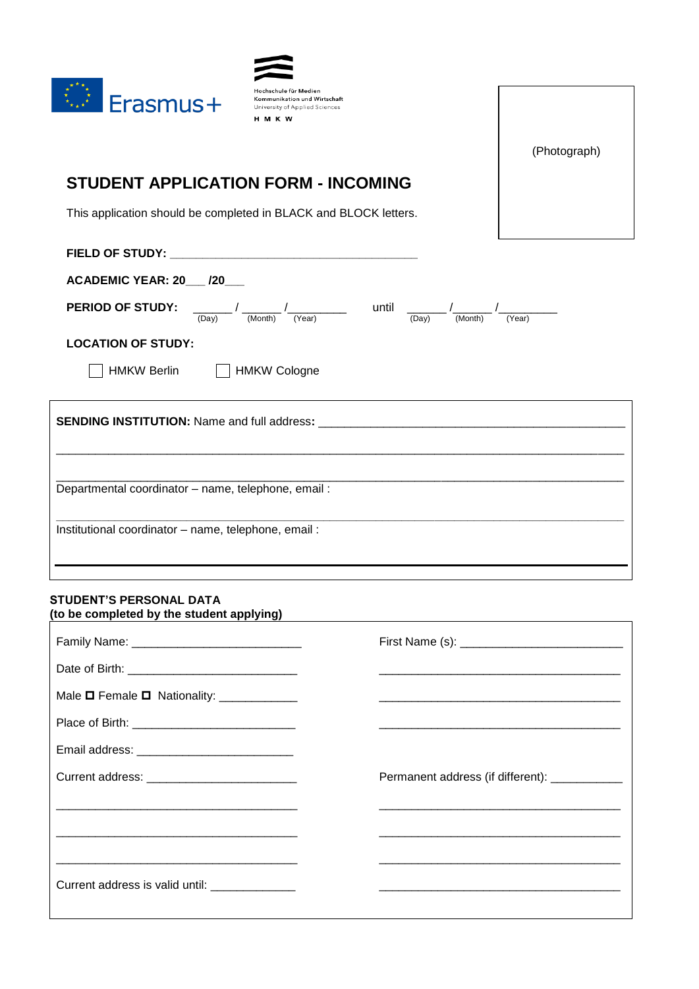

| Hochschule für Medien          |
|--------------------------------|
| Kommunikation und Wirtschaft   |
| University of Applied Sciences |
| <b>HMKW</b>                    |

(Photograph)

 $\overline{\phantom{a}}$ 

# **STUDENT APPLICATION FORM - INCOMING**

This application should be completed in BLACK and BLOCK letters.

| <b>ACADEMIC YEAR: 20___ /20___</b>                  |                            |                |                   |  |
|-----------------------------------------------------|----------------------------|----------------|-------------------|--|
| <b>PERIOD OF STUDY:</b>                             | (Year)<br>(Month)<br>(Day) | until<br>(Day) | (Year)<br>(Month) |  |
| <b>LOCATION OF STUDY:</b>                           |                            |                |                   |  |
| <b>HMKW Berlin</b>                                  | <b>HMKW Cologne</b>        |                |                   |  |
|                                                     |                            |                |                   |  |
|                                                     |                            |                |                   |  |
| Departmental coordinator - name, telephone, email:  |                            |                |                   |  |
| Institutional coordinator - name, telephone, email: |                            |                |                   |  |
|                                                     |                            |                |                   |  |

## **STUDENT'S PERSONAL DATA (to be completed by the student applying)**

| Male $\Box$ Female $\Box$ Nationality: ______________                                              |                                                                                                                                                                                                                               |
|----------------------------------------------------------------------------------------------------|-------------------------------------------------------------------------------------------------------------------------------------------------------------------------------------------------------------------------------|
|                                                                                                    |                                                                                                                                                                                                                               |
|                                                                                                    |                                                                                                                                                                                                                               |
|                                                                                                    | Permanent address (if different): ___________                                                                                                                                                                                 |
|                                                                                                    |                                                                                                                                                                                                                               |
| and the state of the state of the state of the state of the state of the state of the state of the | the control of the control of the control of the control of the control of the control of the control of the control of the control of the control of the control of the control of the control of the control of the control |
|                                                                                                    |                                                                                                                                                                                                                               |
| Current address is valid until: ______________                                                     |                                                                                                                                                                                                                               |
|                                                                                                    |                                                                                                                                                                                                                               |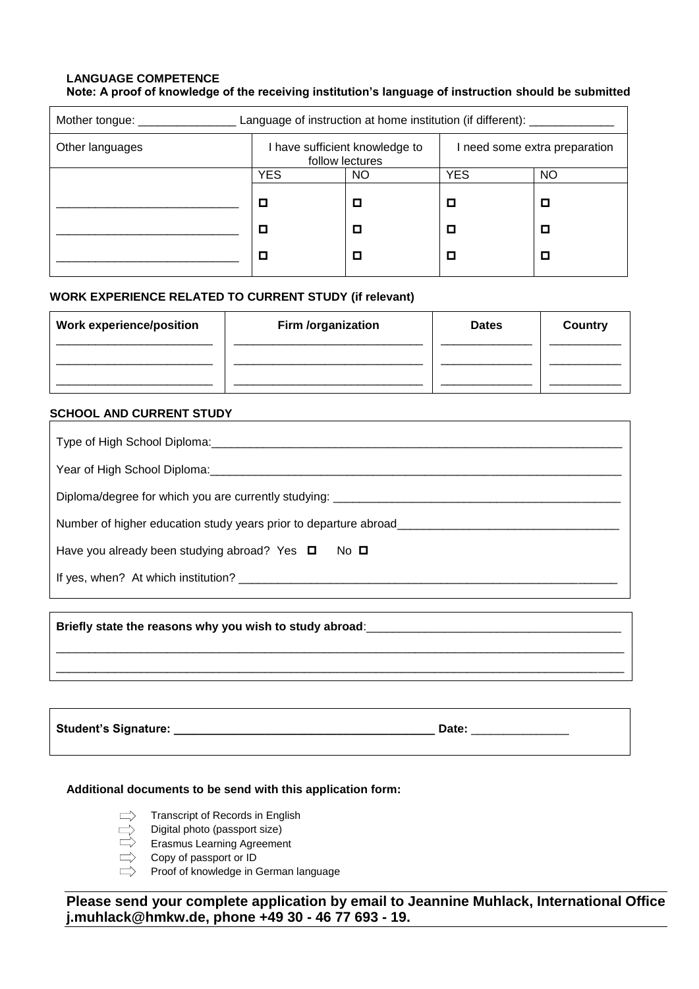### **LANGUAGE COMPETENCE Note: A proof of knowledge of the receiving institution's language of instruction should be submitted**

| Language of instruction at home institution (if different): ________<br>Mother tongue: ___________ |                                                   |           |                               |           |
|----------------------------------------------------------------------------------------------------|---------------------------------------------------|-----------|-------------------------------|-----------|
| Other languages                                                                                    | I have sufficient knowledge to<br>follow lectures |           | I need some extra preparation |           |
|                                                                                                    | <b>YES</b>                                        | <b>NO</b> | <b>YES</b>                    | <b>NO</b> |
|                                                                                                    |                                                   |           |                               | □         |
|                                                                                                    |                                                   |           |                               | О         |
|                                                                                                    |                                                   |           |                               | О         |

# **WORK EXPERIENCE RELATED TO CURRENT STUDY (if relevant)**

| <b>Work experience/position</b> | Firm /organization | <b>Dates</b> | Country |
|---------------------------------|--------------------|--------------|---------|
|                                 |                    |              |         |
|                                 |                    |              |         |

## **SCHOOL AND CURRENT STUDY**

| Type of High School Diploma: 1990-1990                               |  |  |
|----------------------------------------------------------------------|--|--|
| Year of High School Diploma: Vear of High School Diploma             |  |  |
| Diploma/degree for which you are currently studying: _________       |  |  |
| Number of higher education study years prior to departure abroad____ |  |  |
| Have you already been studying abroad? Yes $\Box$<br>$No$ $\square$  |  |  |
| If yes, when? At which institution?                                  |  |  |

| Briefly state the reasons why you wish to study abroad:___ |  |  |
|------------------------------------------------------------|--|--|
|                                                            |  |  |
|                                                            |  |  |

**Student's Signature: \_\_\_\_\_\_\_\_\_\_\_\_\_\_\_\_\_\_\_\_\_\_\_\_\_\_\_\_\_\_\_\_\_\_\_\_\_\_\_\_ Date:** \_\_\_\_\_\_\_\_\_\_\_\_\_\_\_

### **Additional documents to be send with this application form:**

- Transcript of Records in English
- Digital photo (passport size)
- Erasmus Learning Agreement
- Copy of passport or ID
- $\Rightarrow$  Proof of knowledge in German language

**Please send your complete application by email to Jeannine Muhlack, International Office j.muhlack@hmkw.de, phone +49 30 - 46 77 693 - 19.**